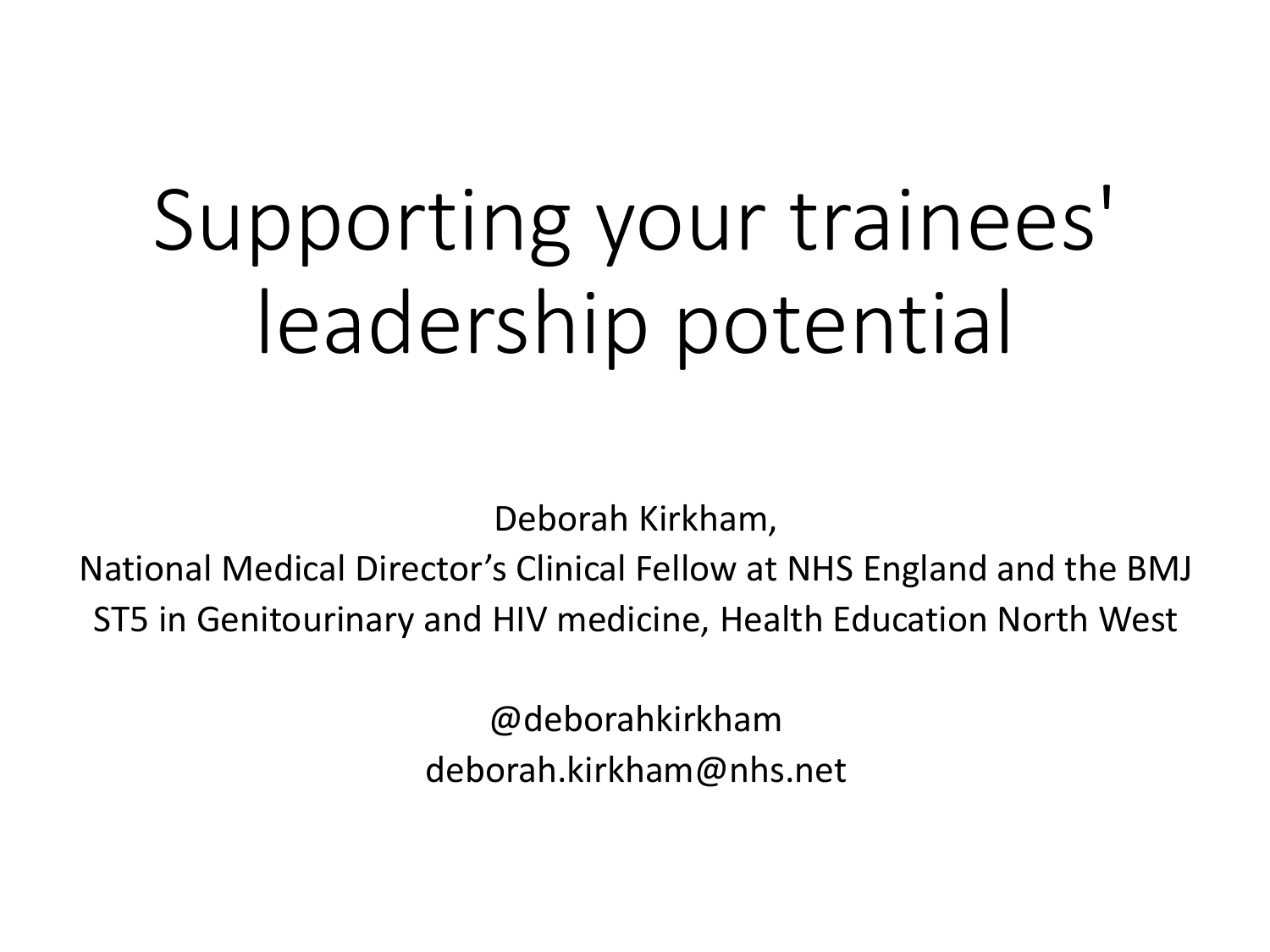# Supporting your trainees' leadership potential

Deborah Kirkham,

National Medical Director's Clinical Fellow at NHS England and the BMJ ST5 in Genitourinary and HIV medicine, Health Education North West

> @deborahkirkham deborah.kirkham@nhs.net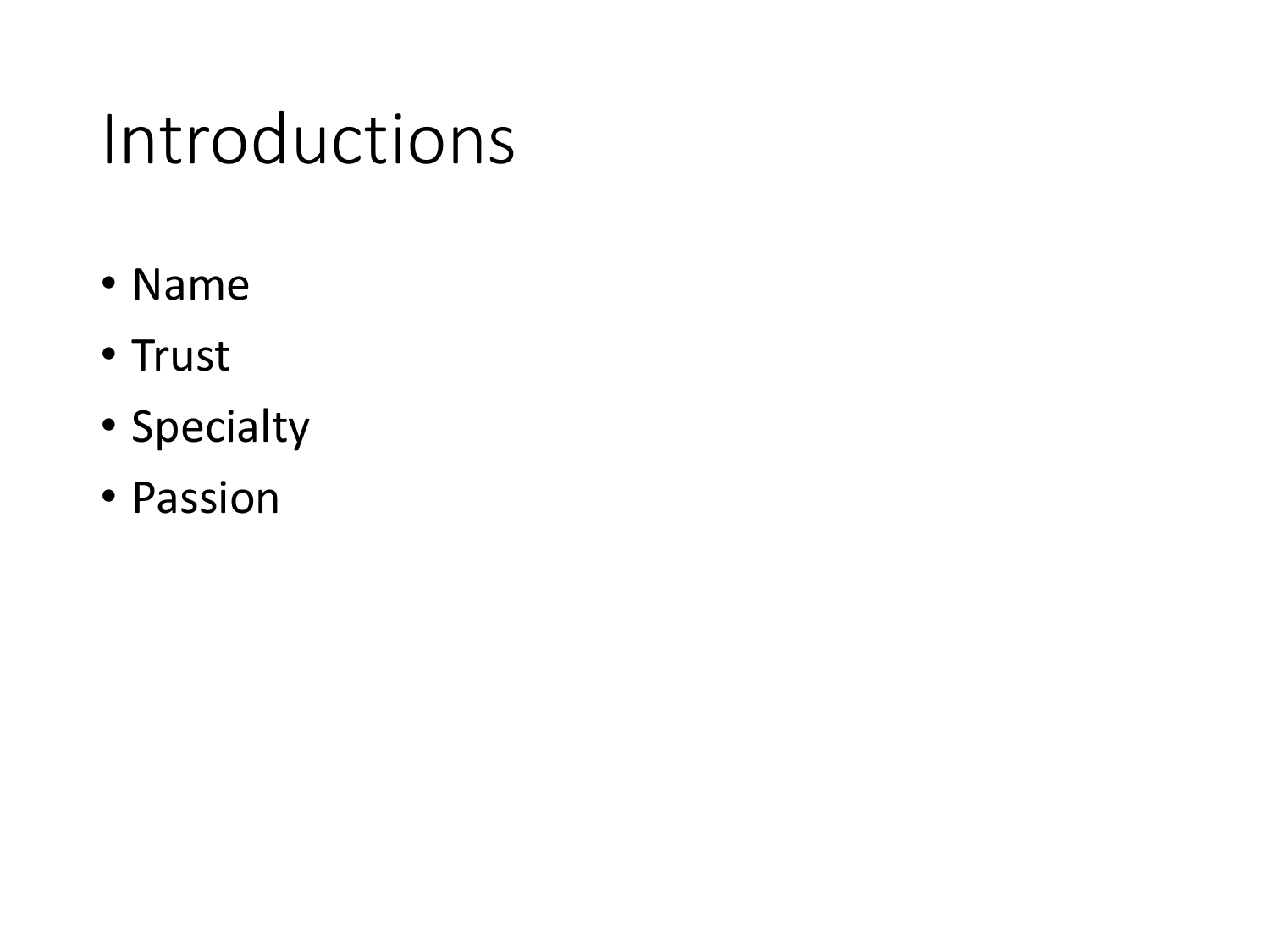#### Introductions

- Name
- Trust
- Specialty
- Passion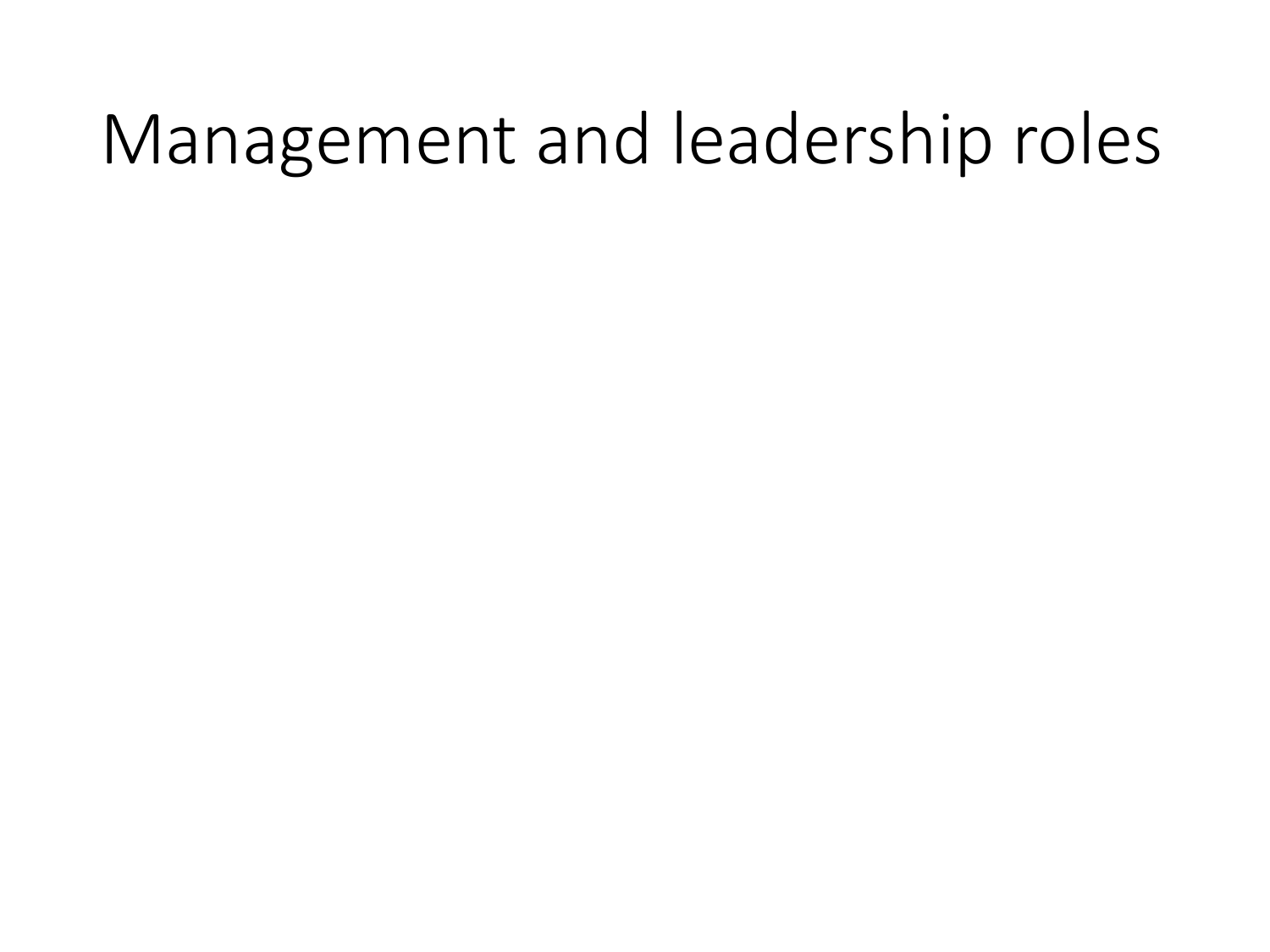#### Management and leadership roles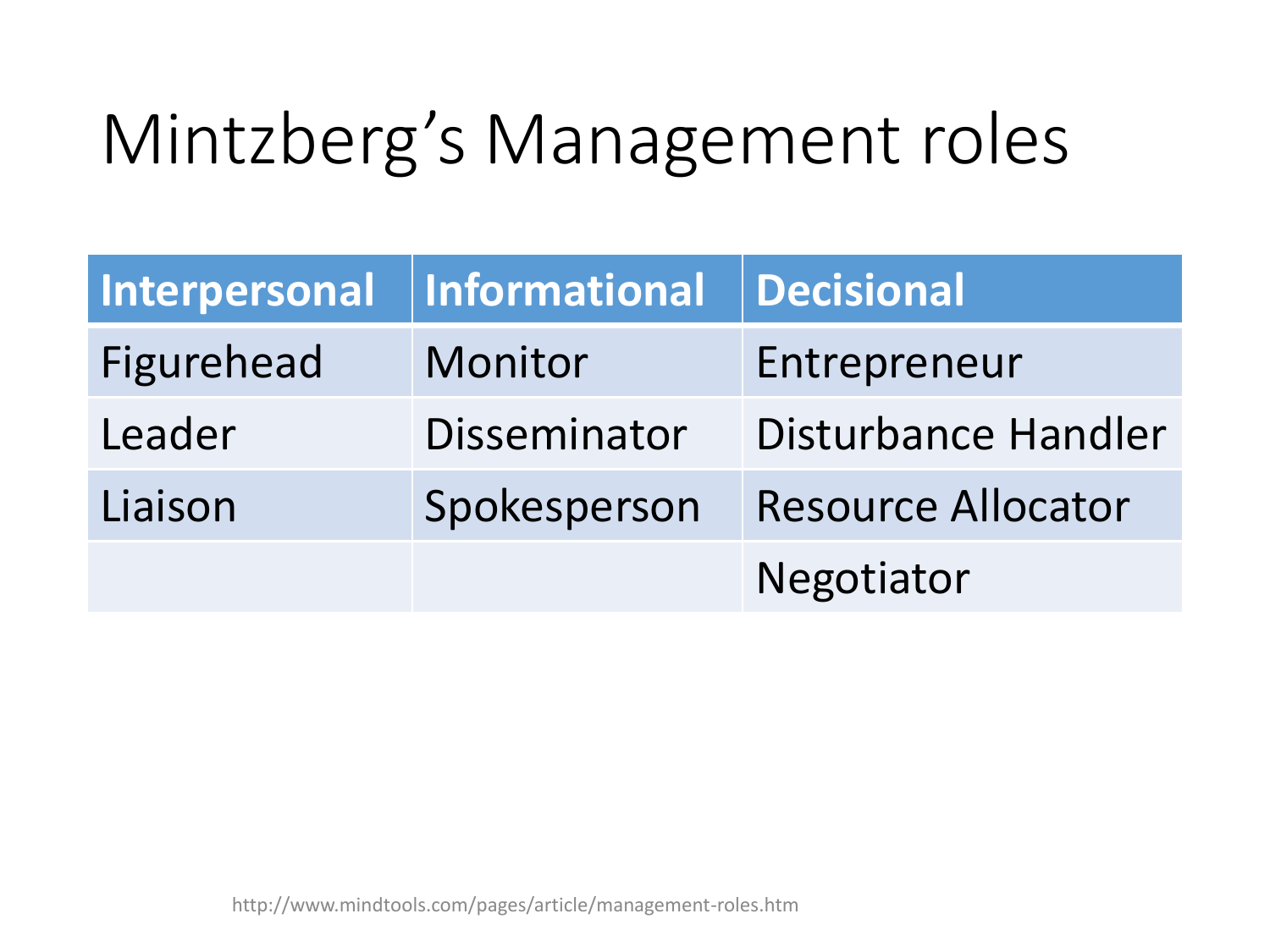# Mintzberg's Management roles

| Interpersonal | <b>Informational</b> | Decisional                |
|---------------|----------------------|---------------------------|
| Figurehead    | Monitor              | Entrepreneur              |
| Leader        | Disseminator         | Disturbance Handler       |
| Liaison       | Spokesperson         | <b>Resource Allocator</b> |
|               |                      | Negotiator                |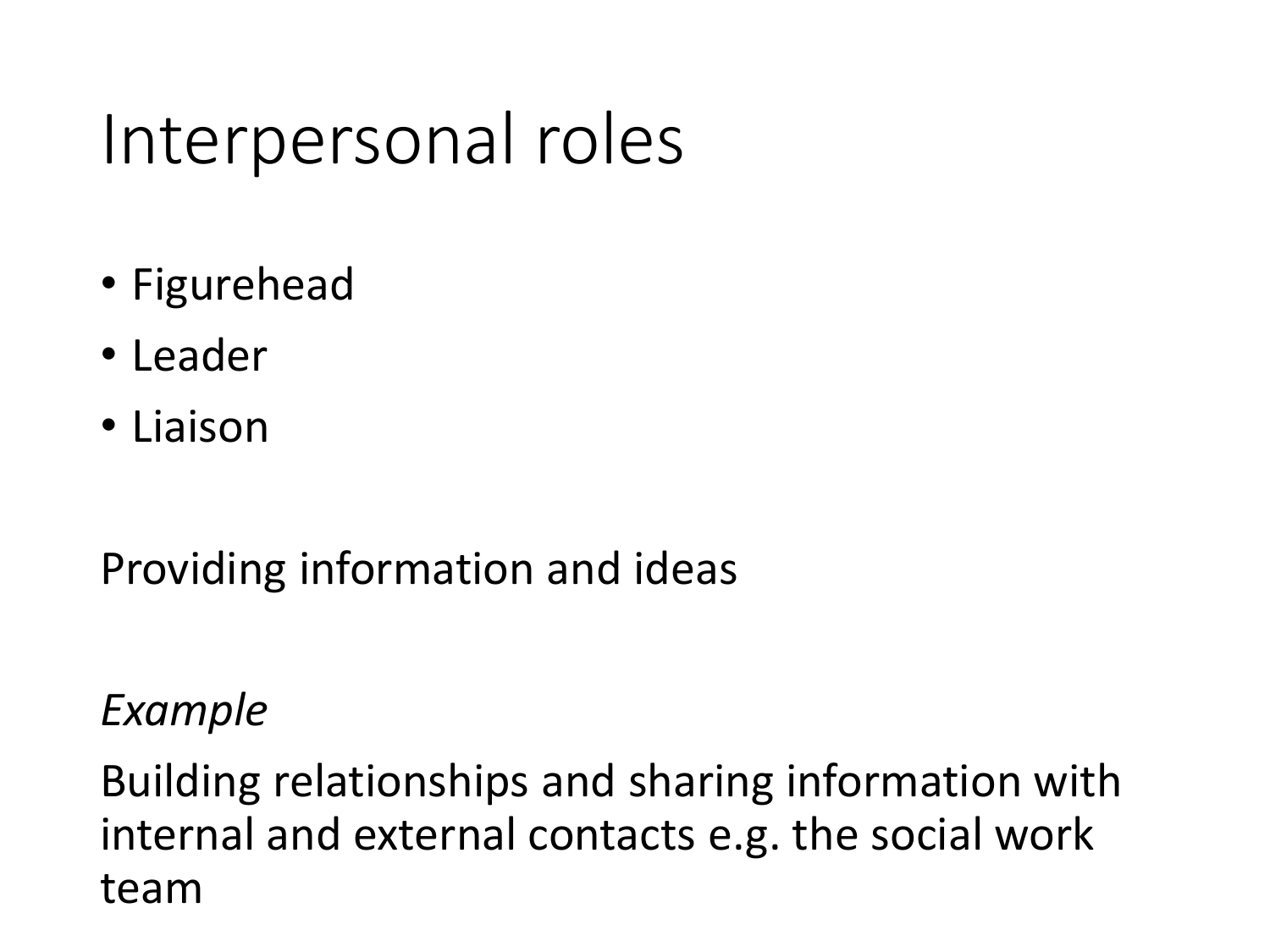## Interpersonal roles

- Figurehead
- Leader
- Liaison

Providing information and ideas

*Example*

Building relationships and sharing information with internal and external contacts e.g. the social work team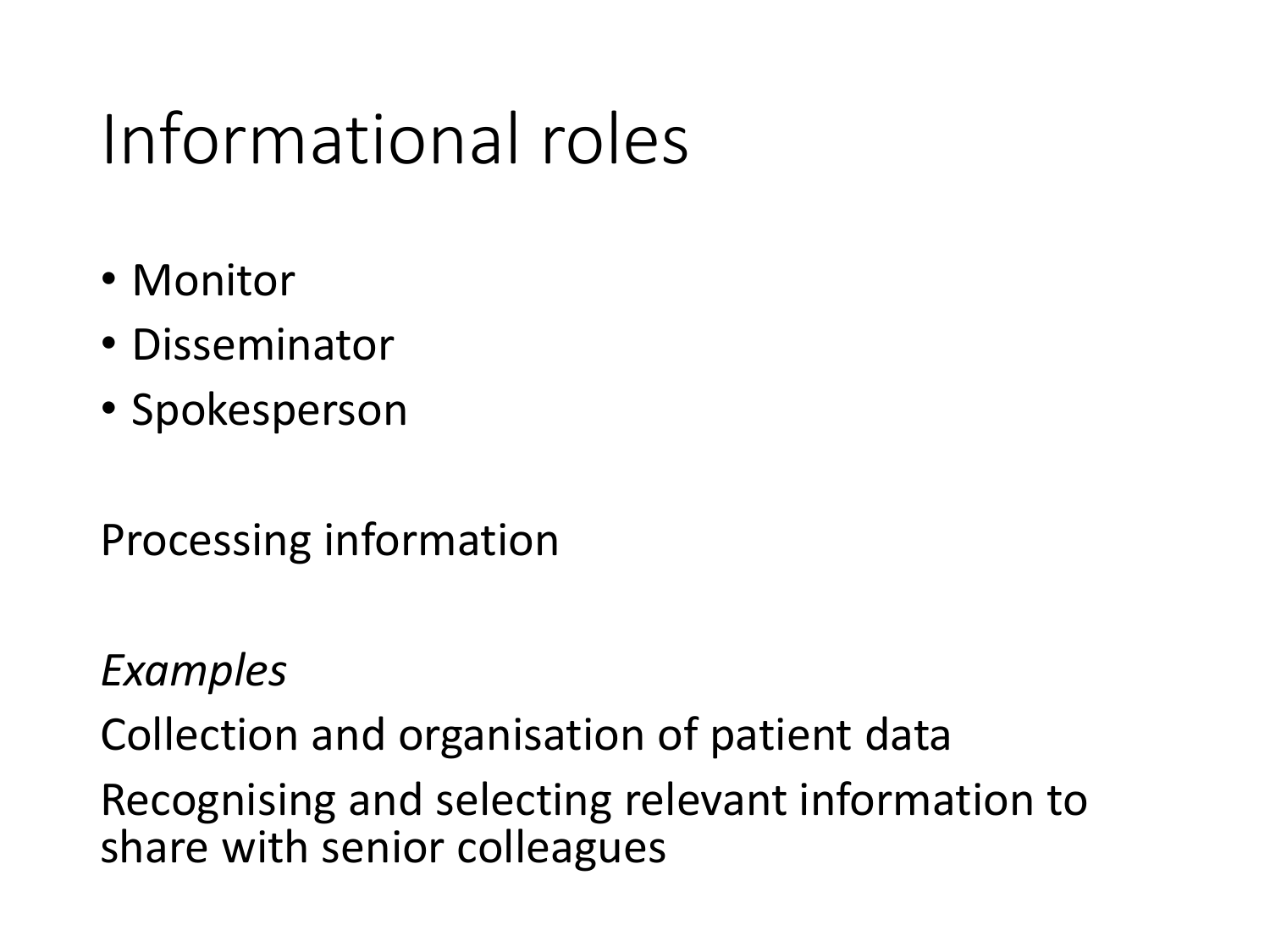# Informational roles

- Monitor
- Disseminator
- Spokesperson

Processing information

*Examples*

Collection and organisation of patient data

Recognising and selecting relevant information to share with senior colleagues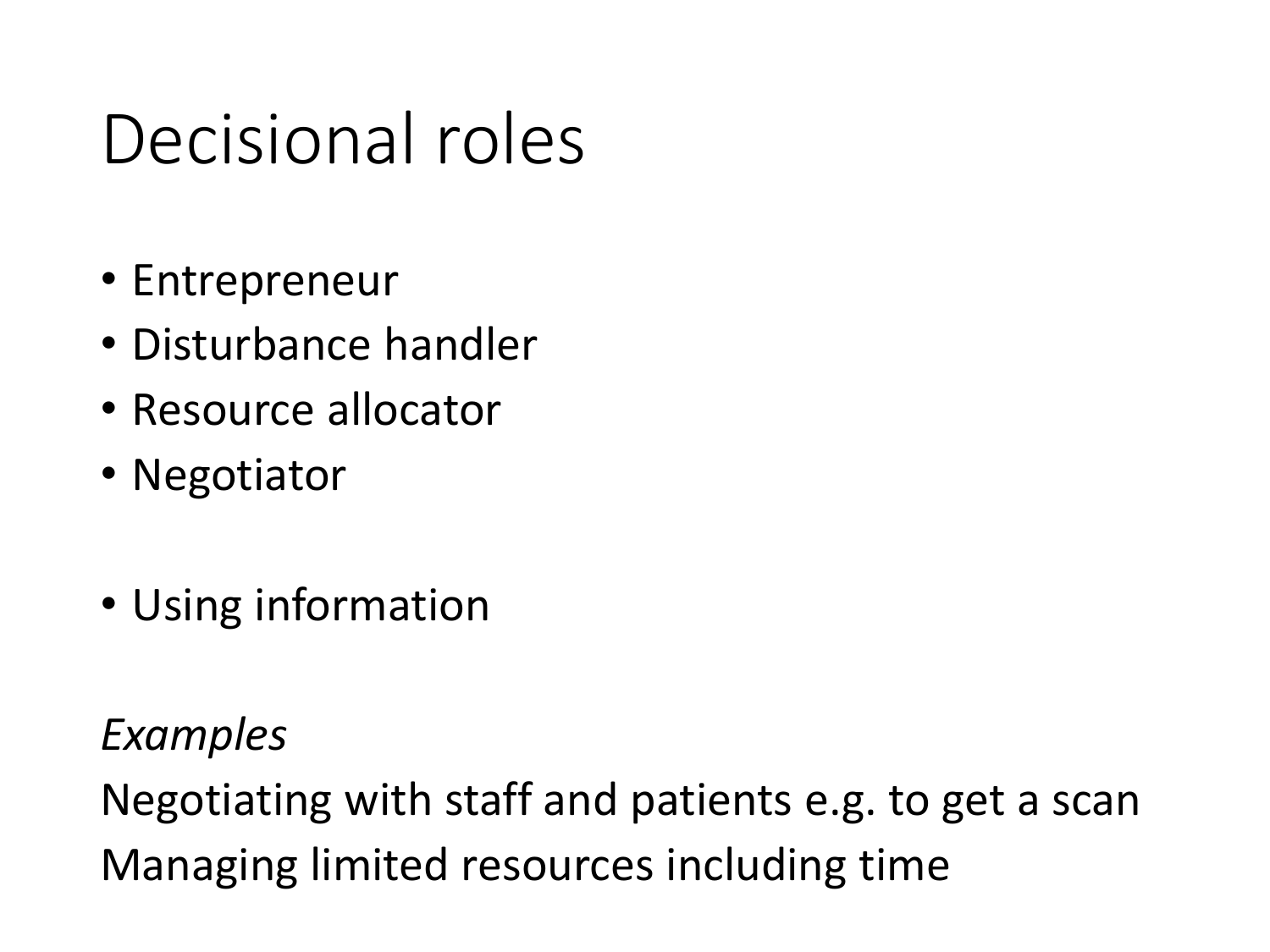# Decisional roles

- Entrepreneur
- Disturbance handler
- Resource allocator
- Negotiator
- Using information

*Examples*

Negotiating with staff and patients e.g. to get a scan Managing limited resources including time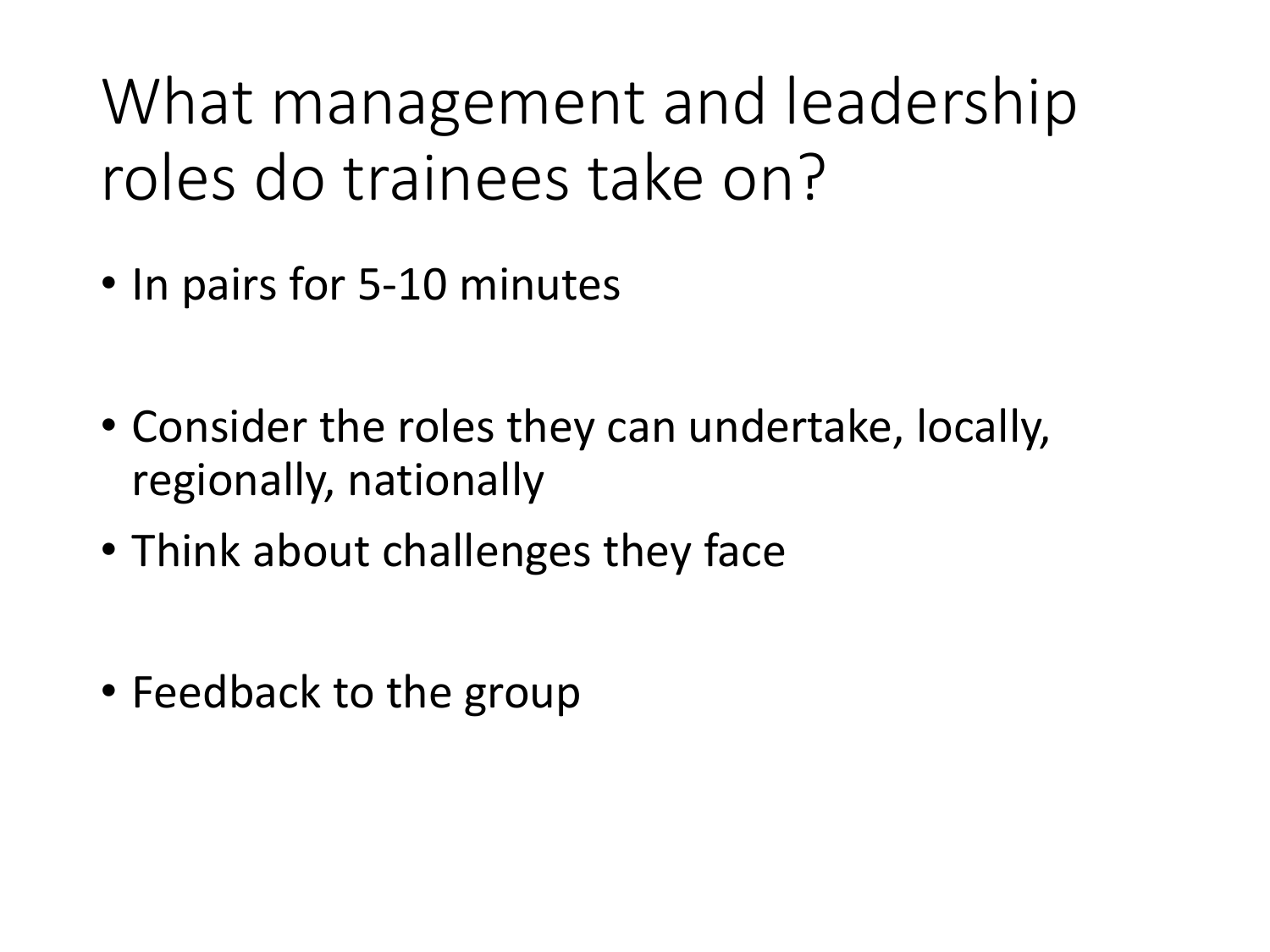What management and leadership roles do trainees take on?

- In pairs for 5-10 minutes
- Consider the roles they can undertake, locally, regionally, nationally
- Think about challenges they face
- Feedback to the group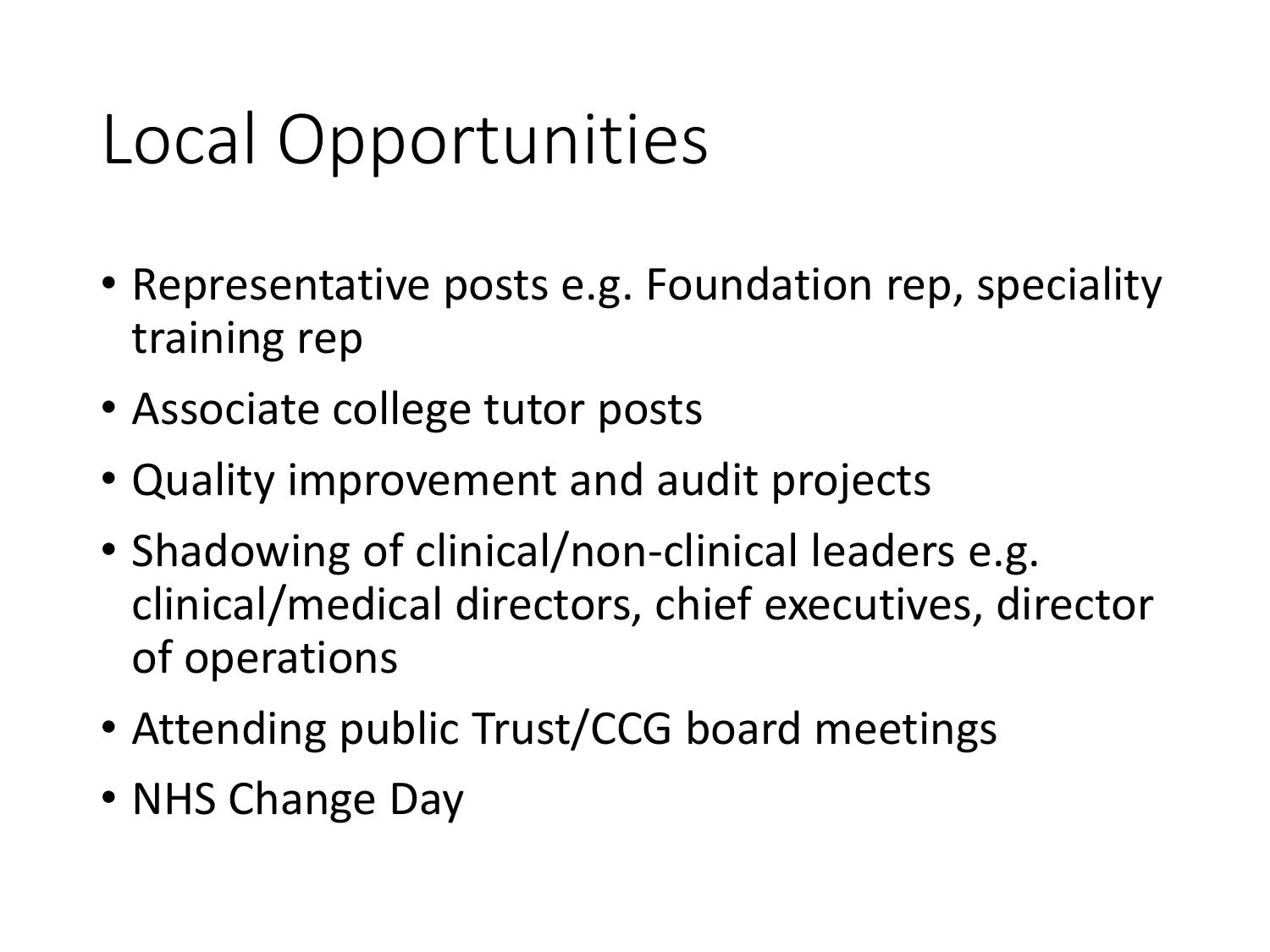# Local Opportunities

- Representative posts e.g. Foundation rep, speciality training rep
- Associate college tutor posts
- Quality improvement and audit projects
- Shadowing of clinical/non-clinical leaders e.g. clinical/medical directors, chief executives, director of operations
- Attending public Trust/CCG board meetings
- NHS Change Day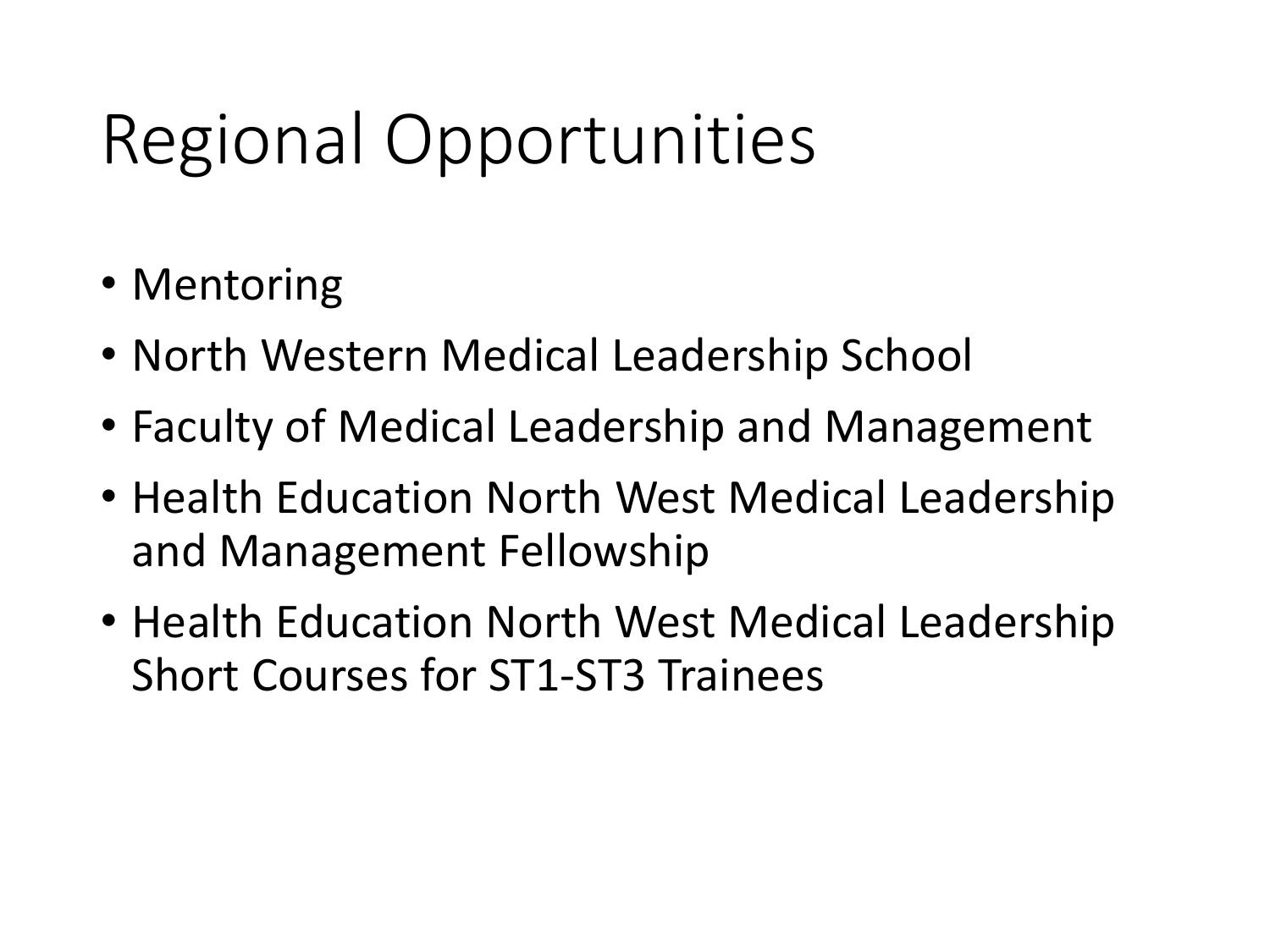# Regional Opportunities

- Mentoring
- North Western Medical Leadership School
- Faculty of Medical Leadership and Management
- Health Education North West Medical Leadership and Management Fellowship
- Health Education North West Medical Leadership Short Courses for ST1-ST3 Trainees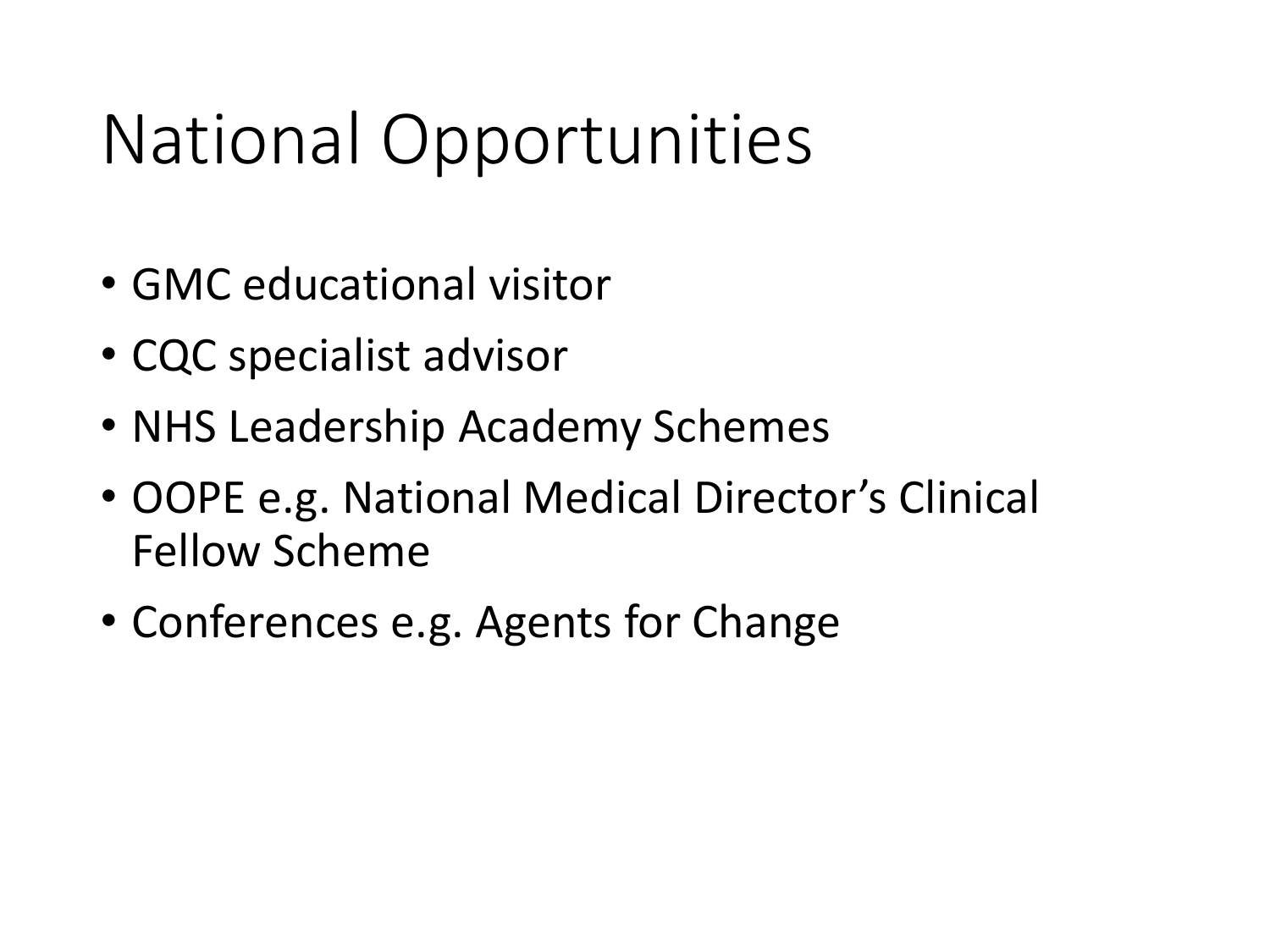# National Opportunities

- GMC educational visitor
- CQC specialist advisor
- NHS Leadership Academy Schemes
- OOPE e.g. National Medical Director's Clinical Fellow Scheme
- Conferences e.g. Agents for Change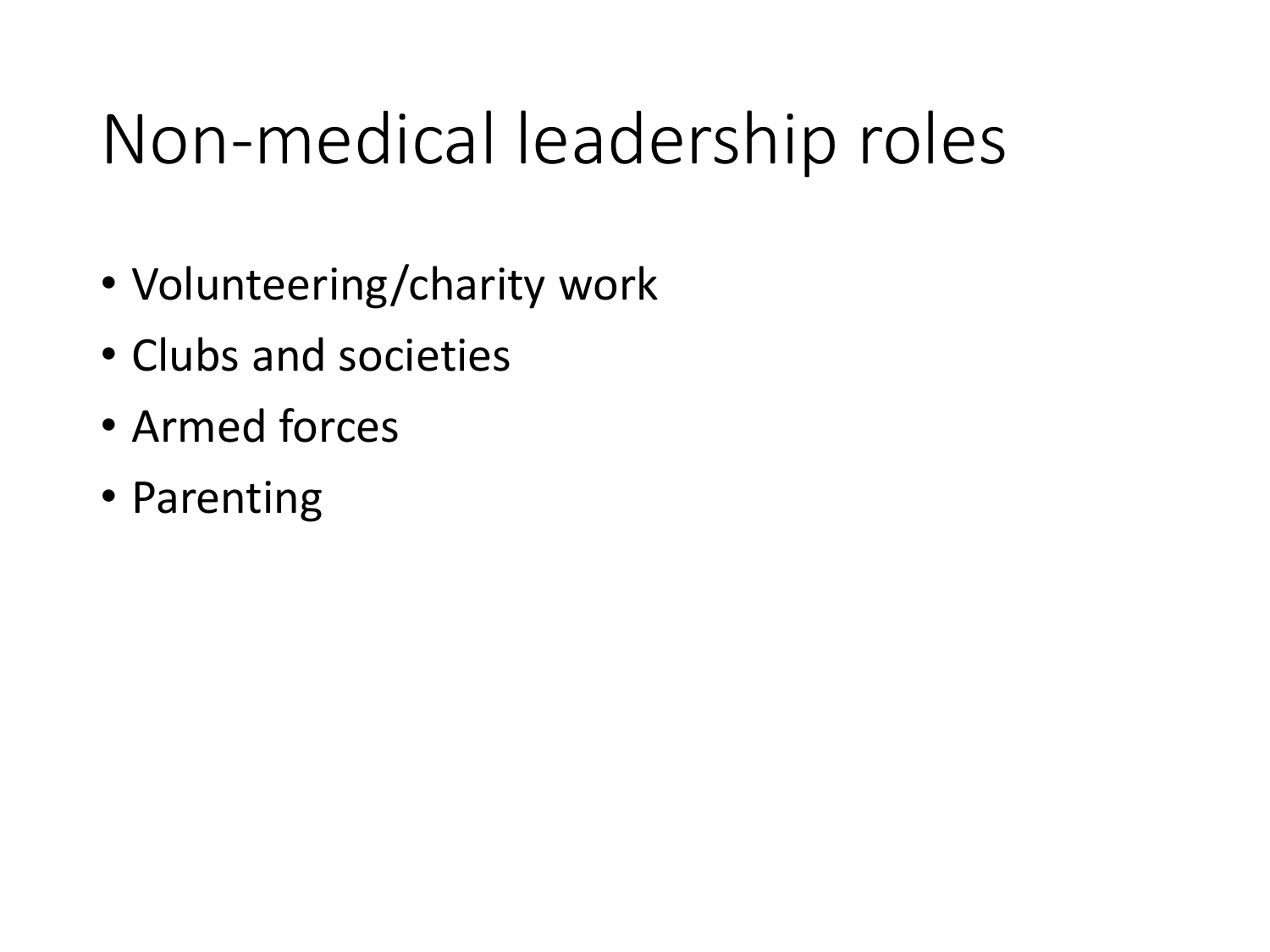# Non-medical leadership roles

- Volunteering/charity work
- Clubs and societies
- Armed forces
- Parenting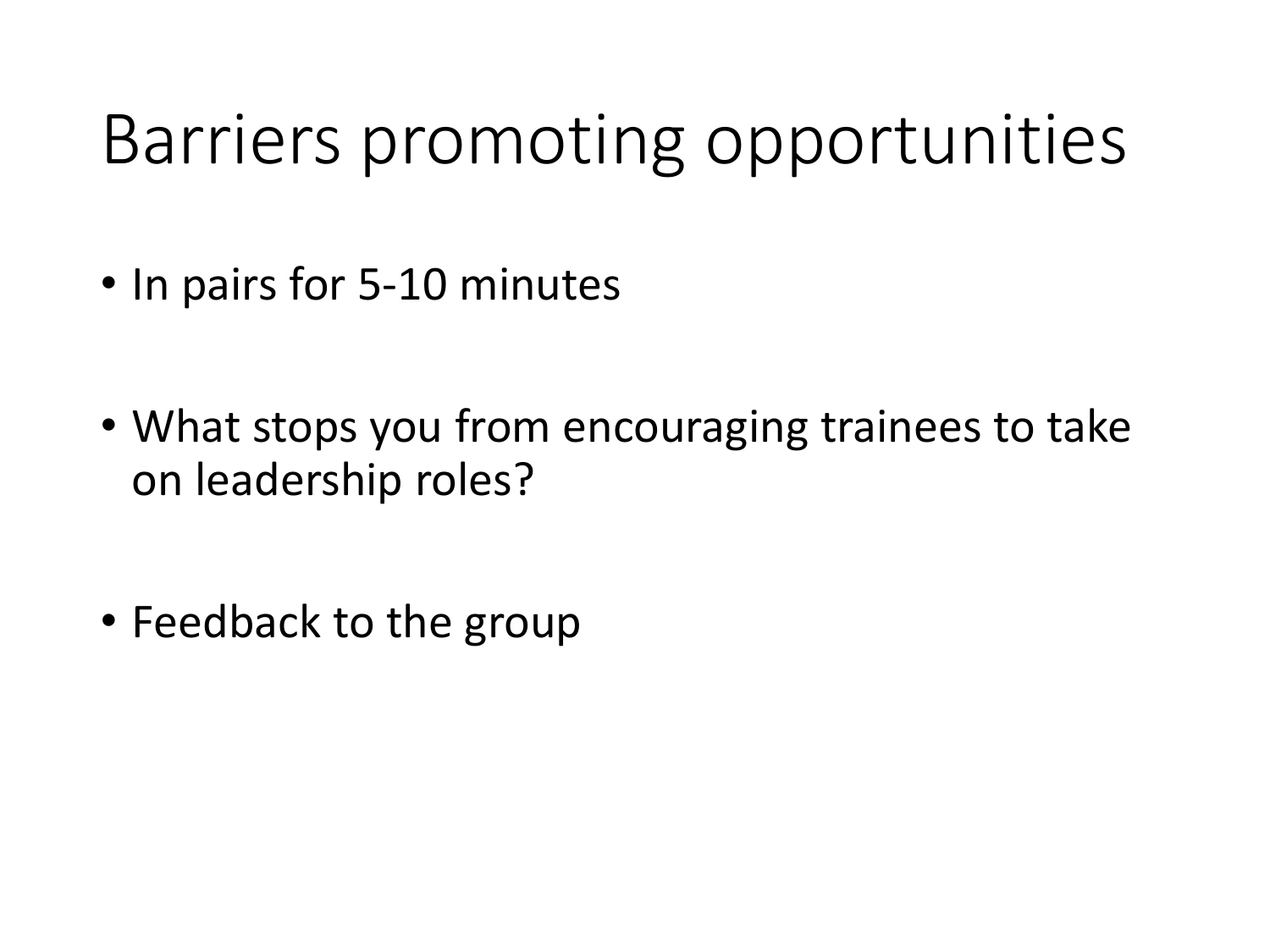## Barriers promoting opportunities

- In pairs for 5-10 minutes
- What stops you from encouraging trainees to take on leadership roles?
- Feedback to the group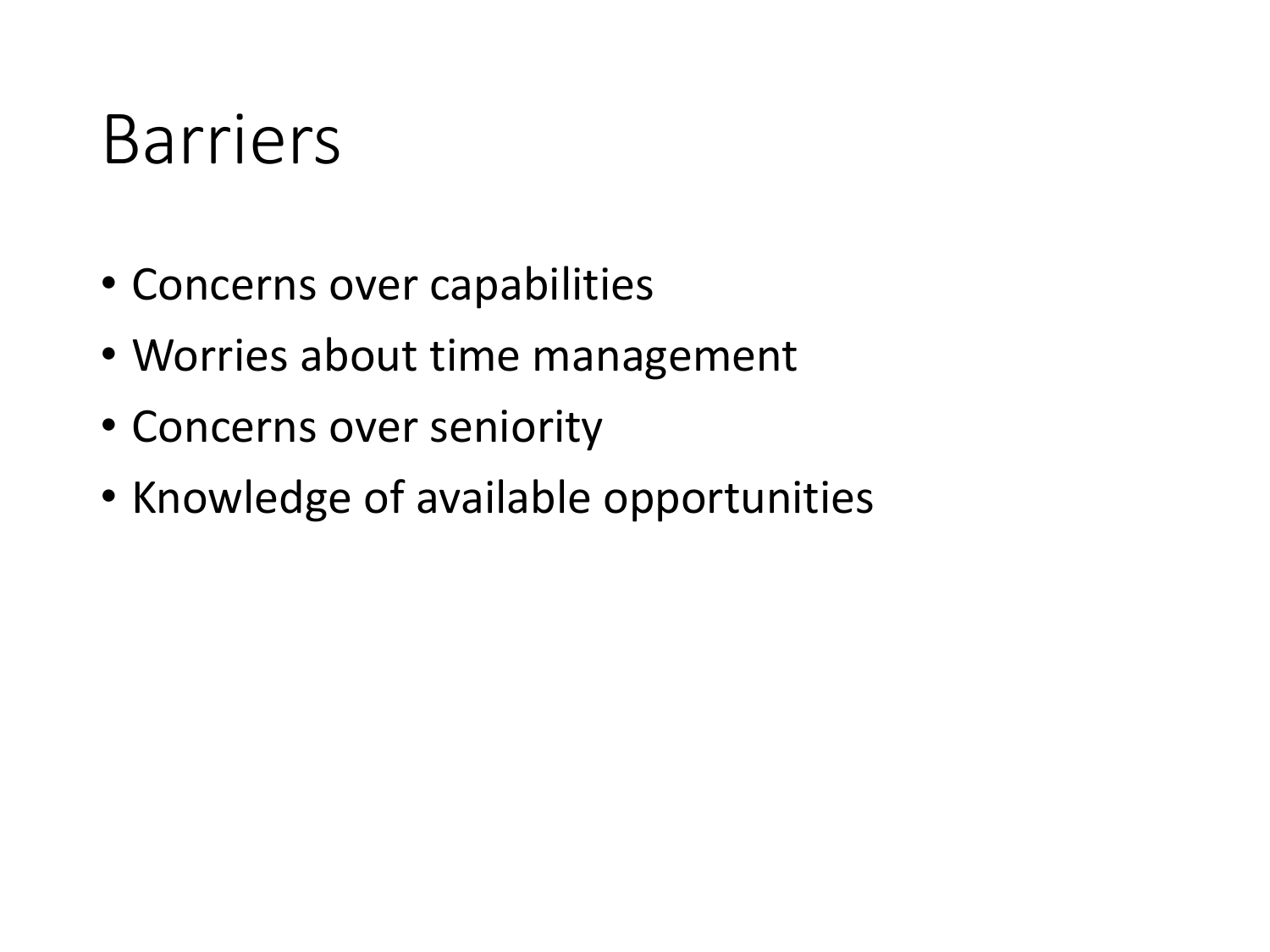#### Barriers

- Concerns over capabilities
- Worries about time management
- Concerns over seniority
- Knowledge of available opportunities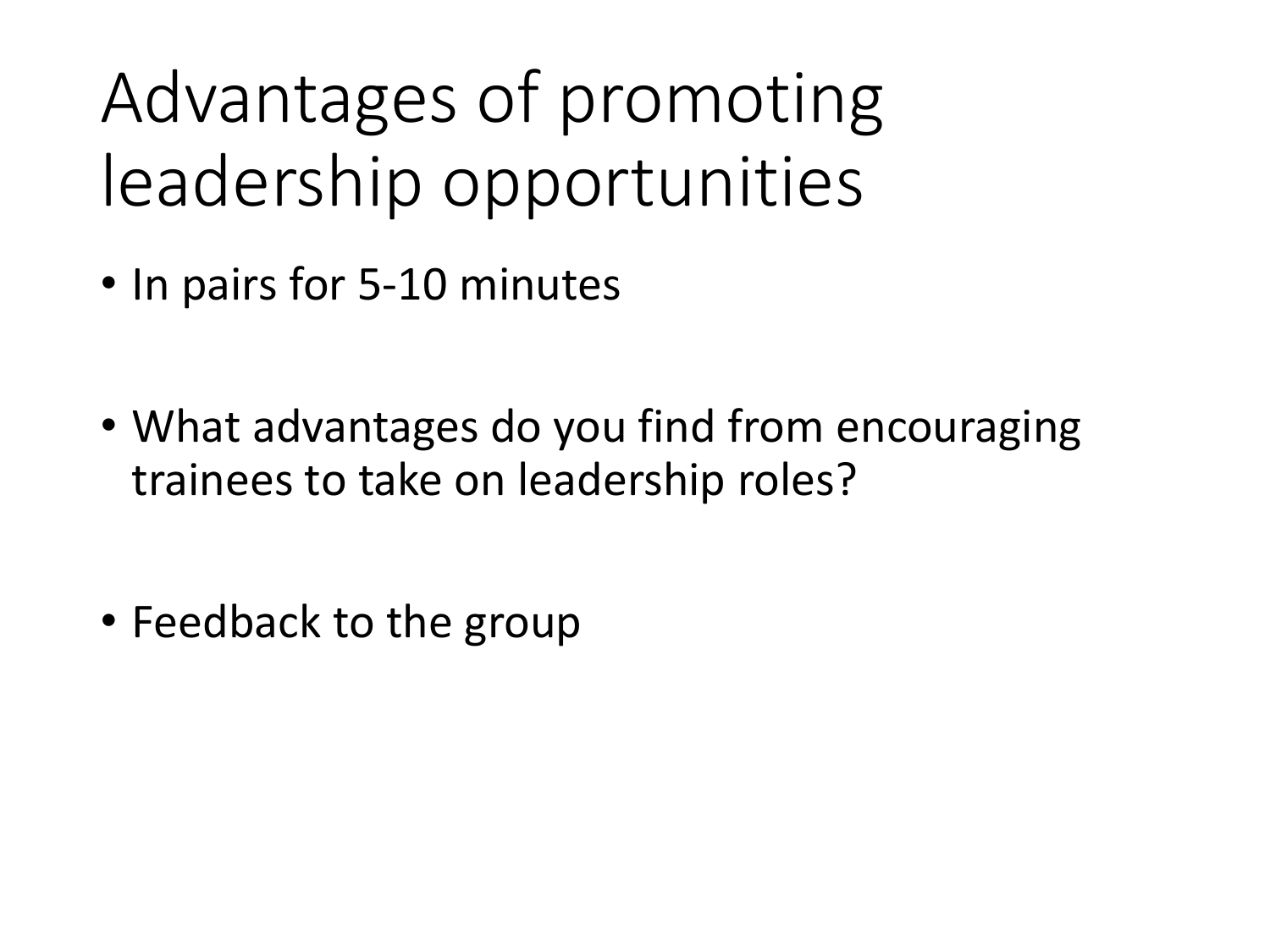# Advantages of promoting leadership opportunities

- In pairs for 5-10 minutes
- What advantages do you find from encouraging trainees to take on leadership roles?
- Feedback to the group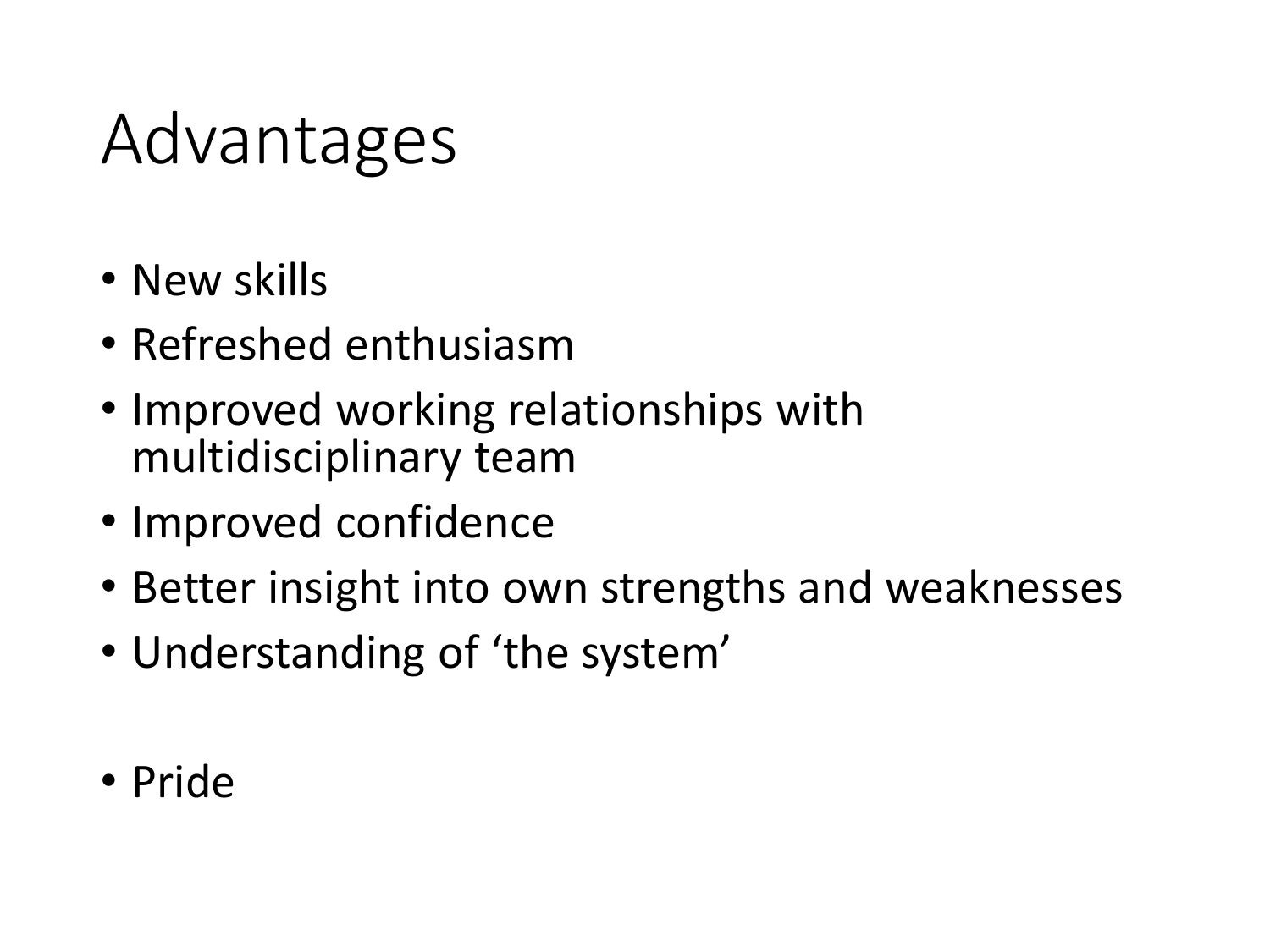# Advantages

- New skills
- Refreshed enthusiasm
- Improved working relationships with multidisciplinary team
- Improved confidence
- Better insight into own strengths and weaknesses
- Understanding of 'the system'
- Pride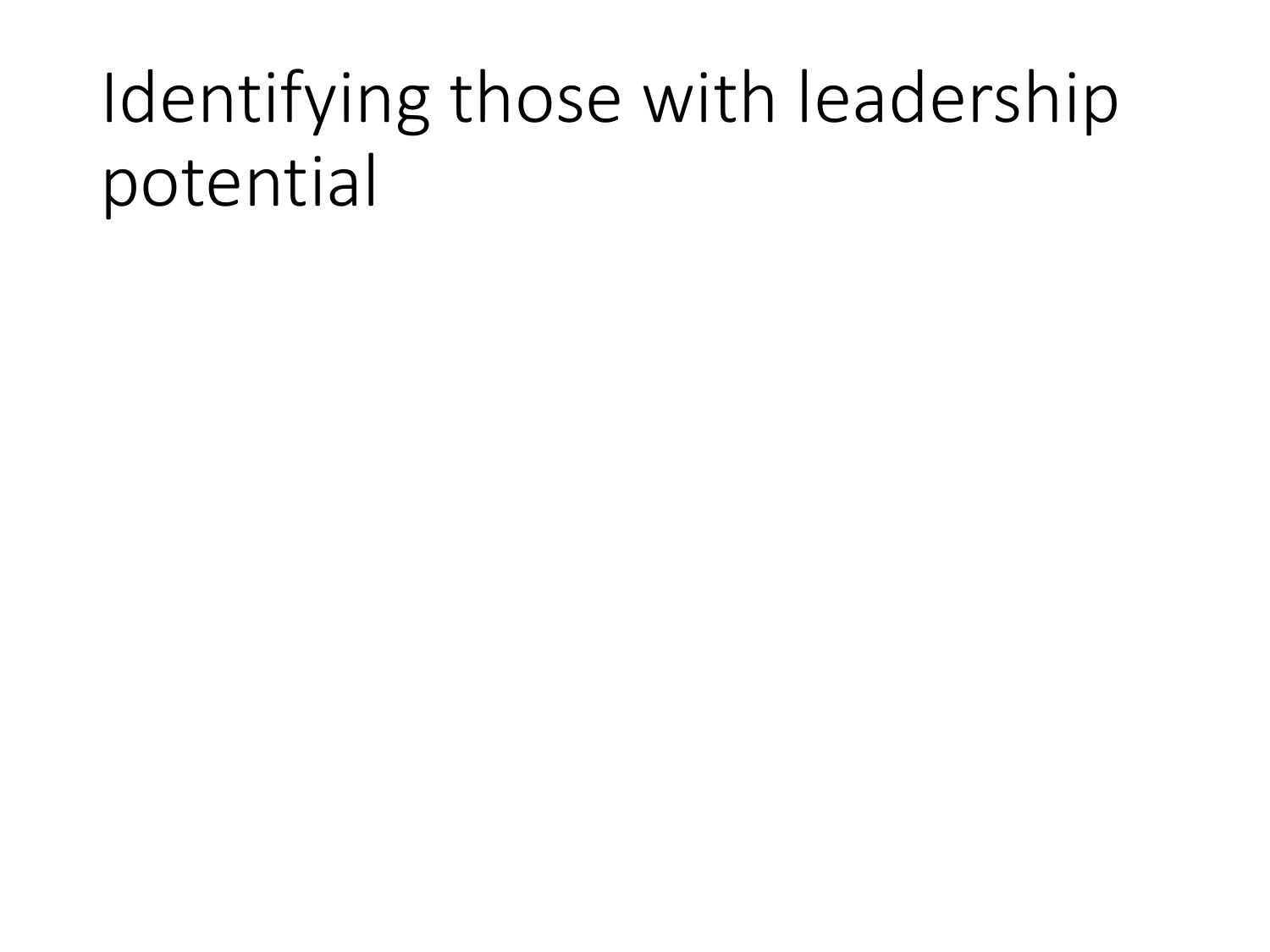# Identifying those with leadership potential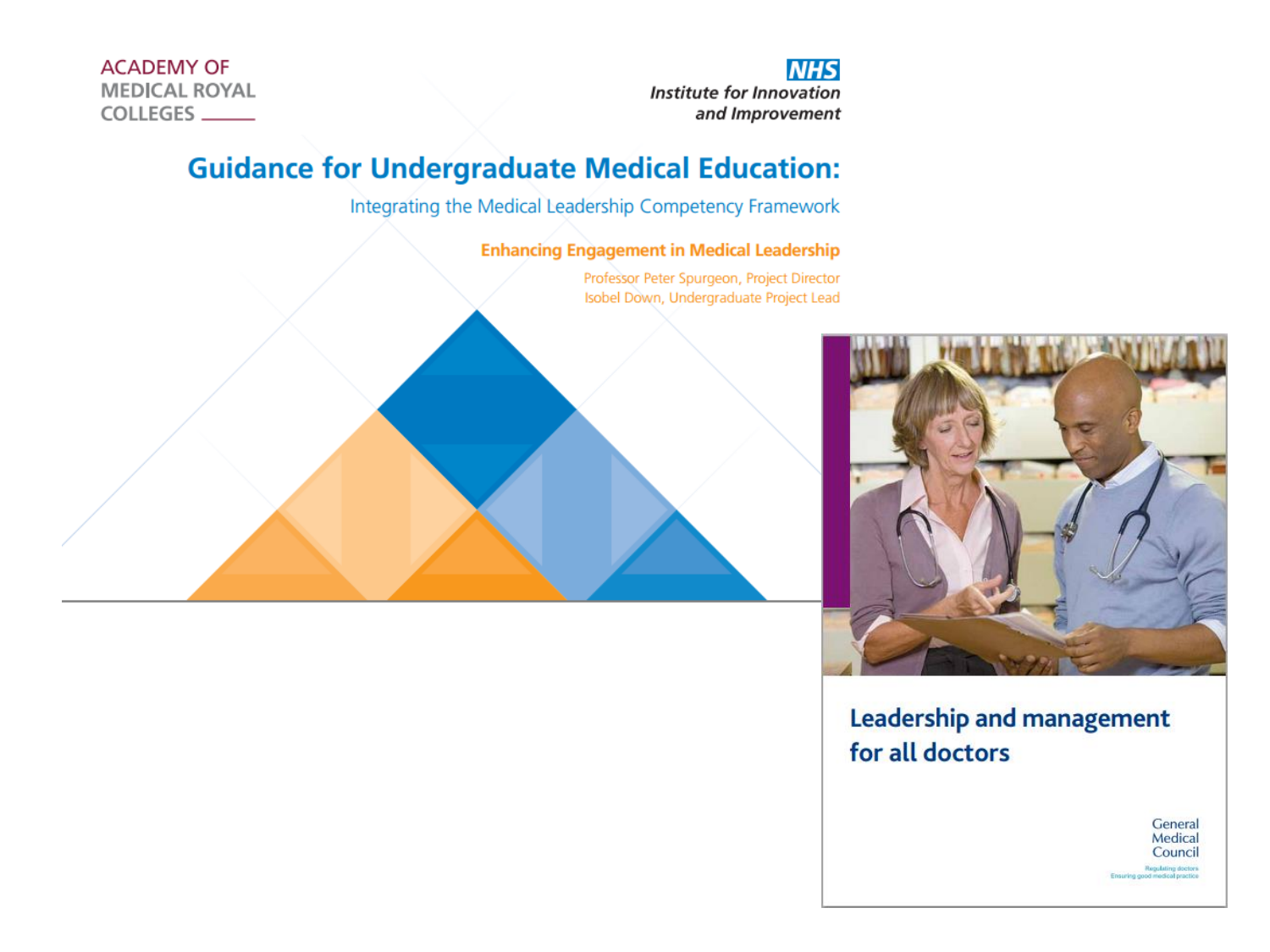**ACADEMY OF MEDICAL ROYAL** COLLEGES

**NHS Institute for Innovation** and Improvement

#### **Guidance for Undergraduate Medical Education:**

Integrating the Medical Leadership Competency Framework

**Enhancing Engagement in Medical Leadership** 

Professor Peter Spurgeon, Project Director Isobel Down, Undergraduate Project Lead





**Leadership and management** for all doctors

> General Medical Council Regulating doctors<br>jood medical practice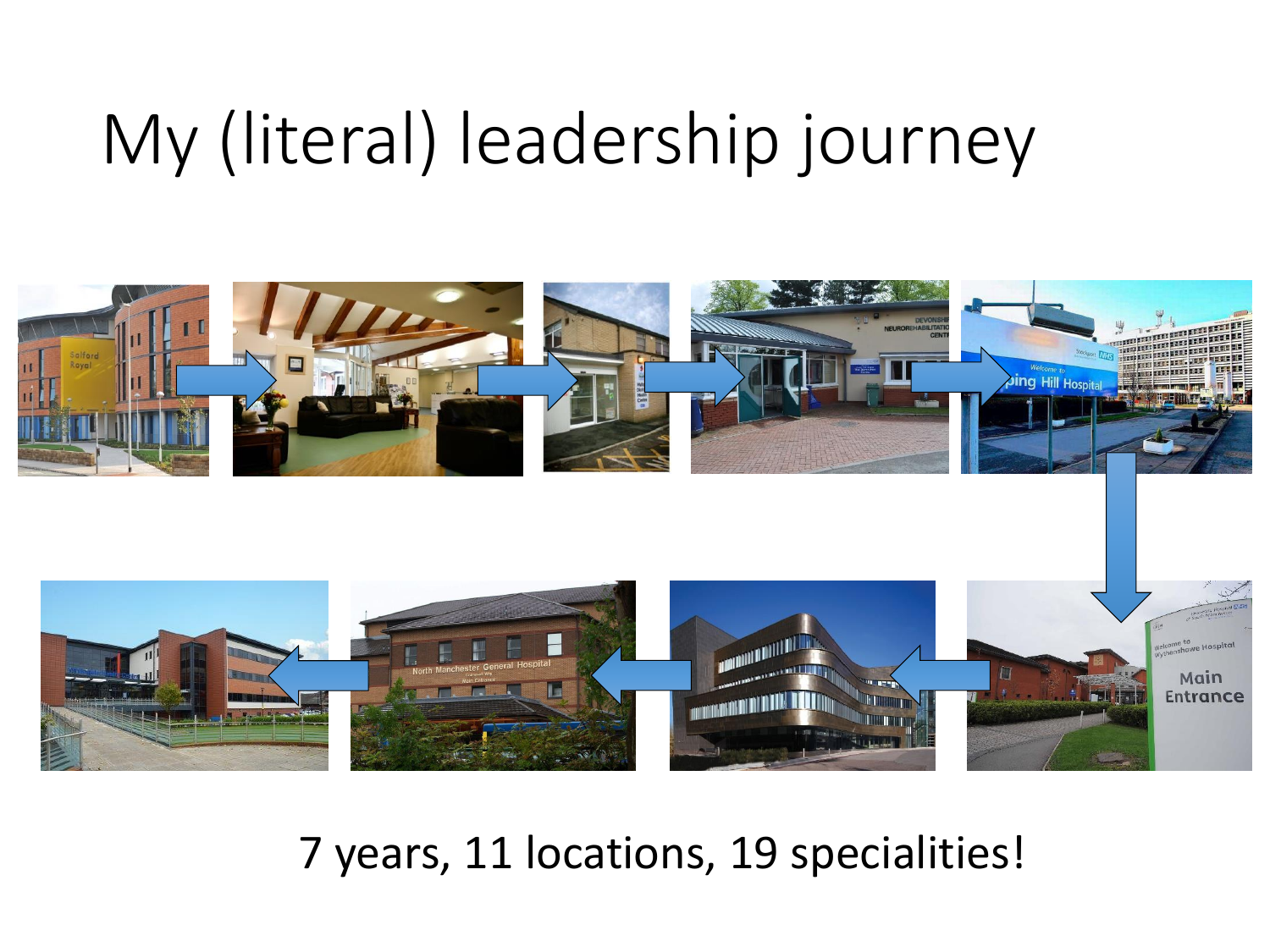# My (literal) leadership journey



7 years, 11 locations, 19 specialities!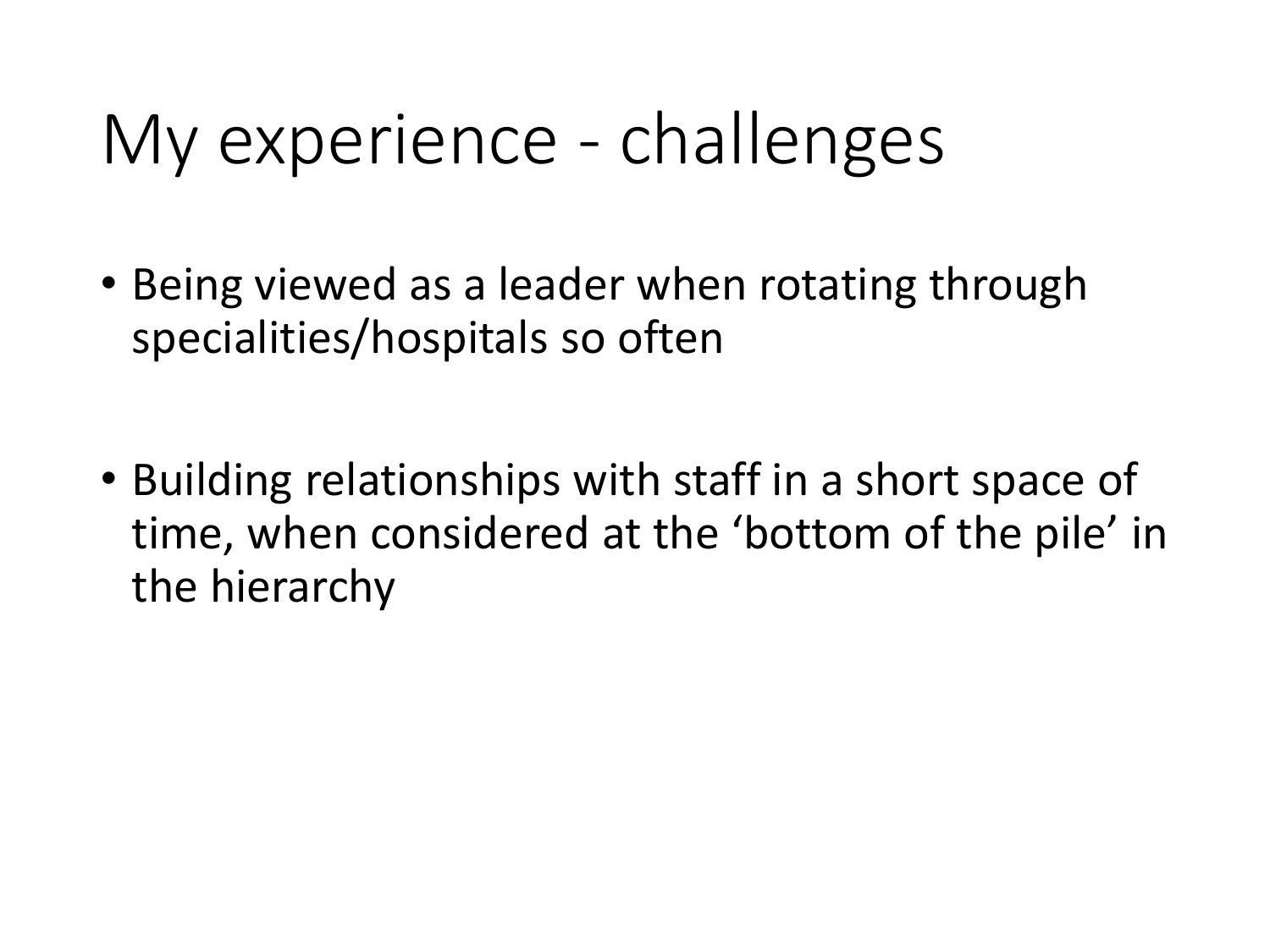# My experience - challenges

- Being viewed as a leader when rotating through specialities/hospitals so often
- Building relationships with staff in a short space of time, when considered at the 'bottom of the pile' in the hierarchy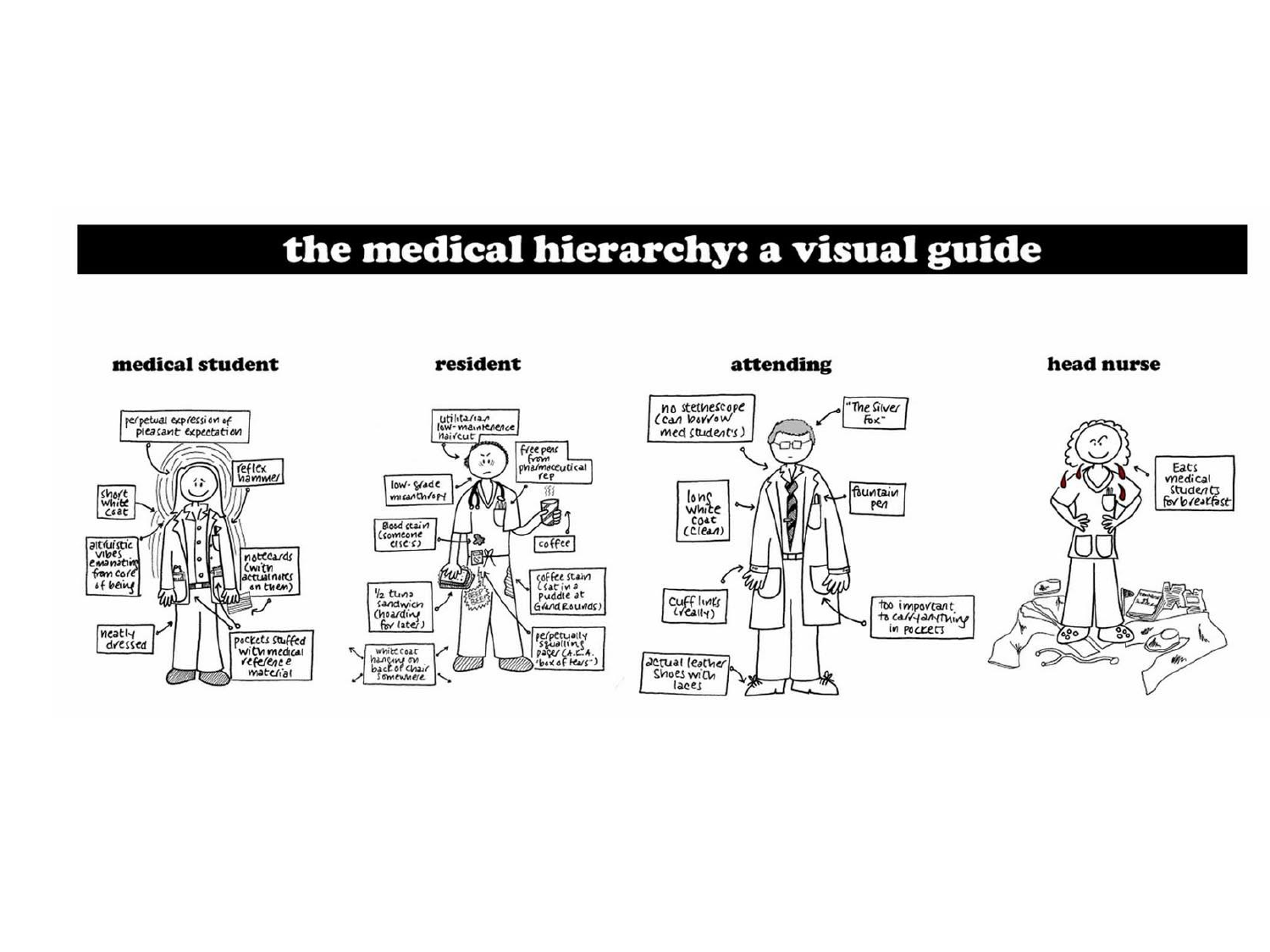#### the medical hierarchy: a visual guide

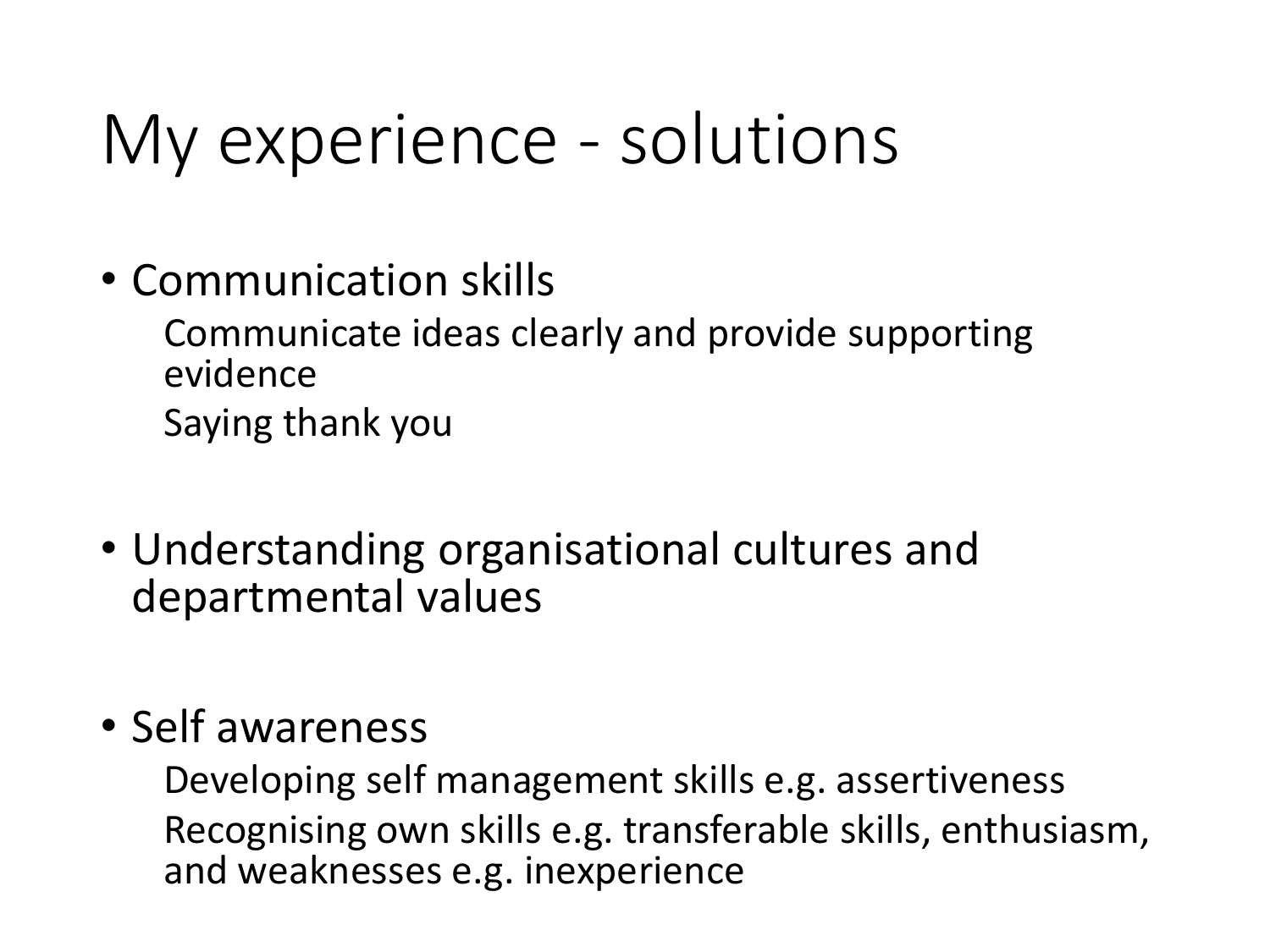# My experience - solutions

• Communication skills

Communicate ideas clearly and provide supporting evidence Saying thank you

- Understanding organisational cultures and departmental values
- Self awareness

Developing self management skills e.g. assertiveness Recognising own skills e.g. transferable skills, enthusiasm, and weaknesses e.g. inexperience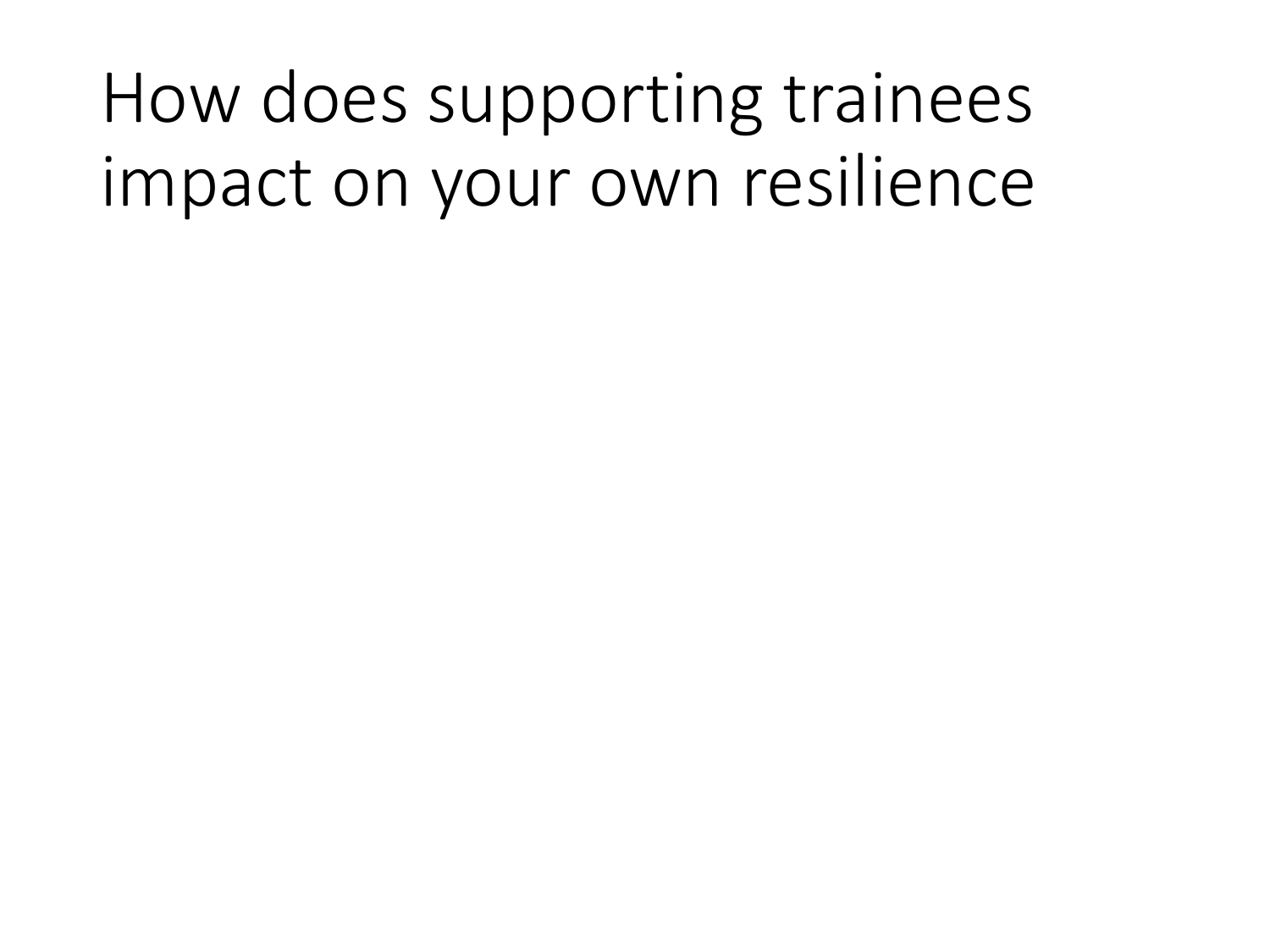# How does supporting trainees impact on your own resilience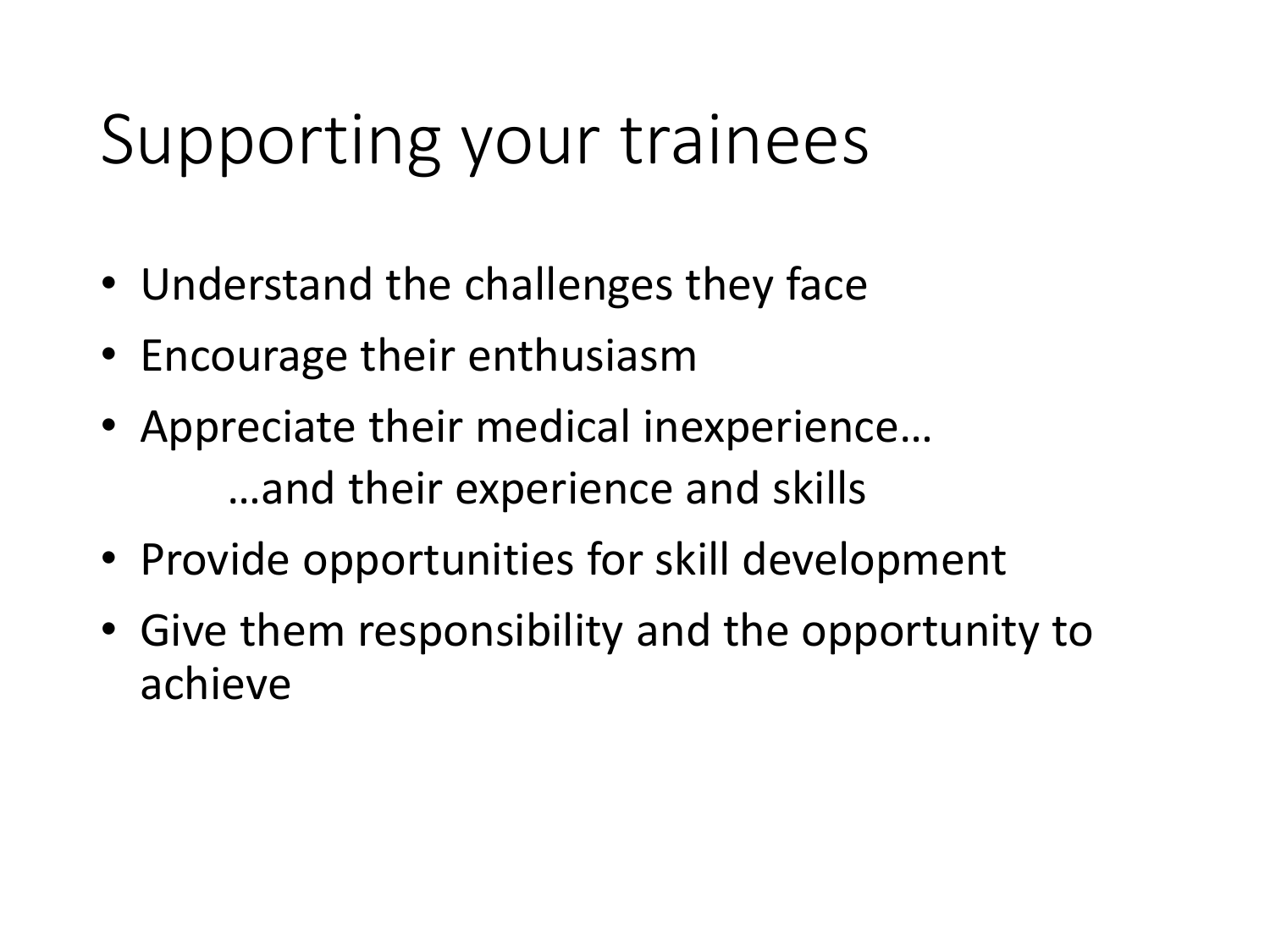# Supporting your trainees

- Understand the challenges they face
- Encourage their enthusiasm
- Appreciate their medical inexperience… …and their experience and skills
- Provide opportunities for skill development
- Give them responsibility and the opportunity to achieve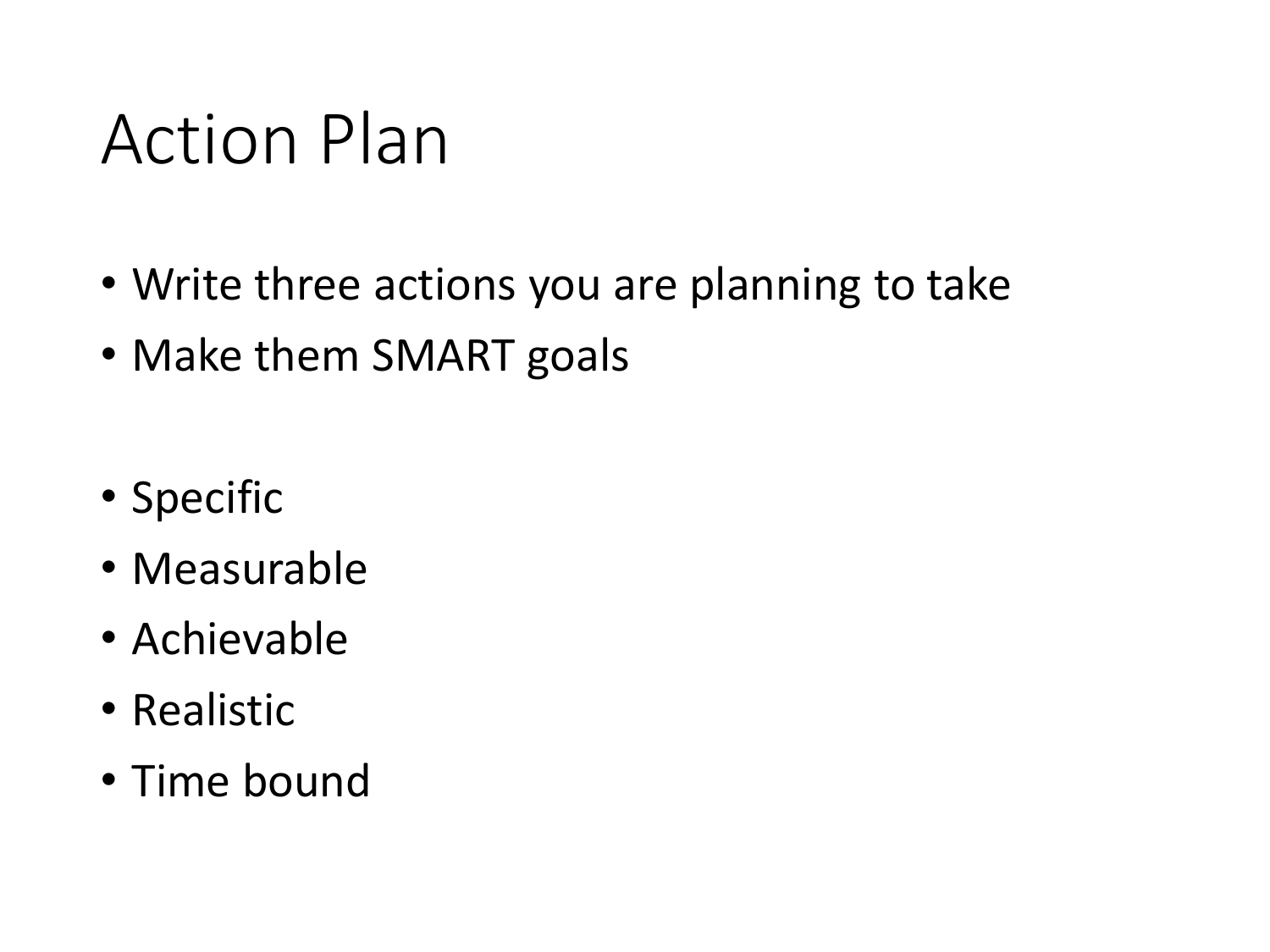### Action Plan

- Write three actions you are planning to take
- Make them SMART goals
- Specific
- Measurable
- Achievable
- Realistic
- Time bound